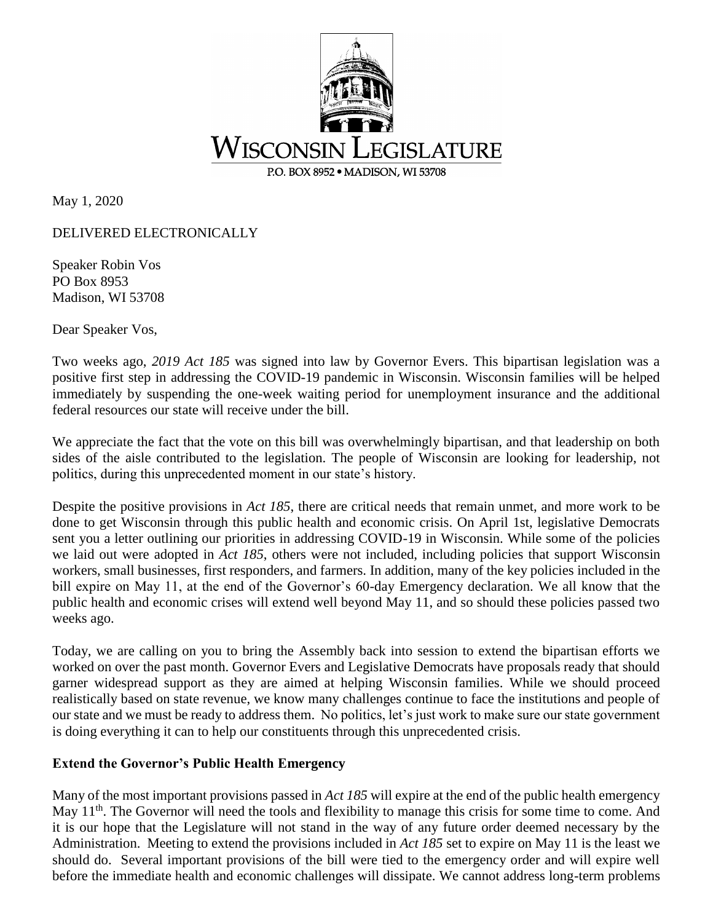

May 1, 2020

DELIVERED ELECTRONICALLY

Speaker Robin Vos PO Box 8953 Madison, WI 53708

Dear Speaker Vos,

Two weeks ago, *2019 Act 185* was signed into law by Governor Evers. This bipartisan legislation was a positive first step in addressing the COVID-19 pandemic in Wisconsin. Wisconsin families will be helped immediately by suspending the one-week waiting period for unemployment insurance and the additional federal resources our state will receive under the bill.

We appreciate the fact that the vote on this bill was overwhelmingly bipartisan, and that leadership on both sides of the aisle contributed to the legislation. The people of Wisconsin are looking for leadership, not politics, during this unprecedented moment in our state's history.

Despite the positive provisions in *Act 185*, there are critical needs that remain unmet, and more work to be done to get Wisconsin through this public health and economic crisis. On April 1st, legislative Democrats sent you a letter outlining our priorities in addressing COVID-19 in Wisconsin. While some of the policies we laid out were adopted in *Act 185*, others were not included, including policies that support Wisconsin workers, small businesses, first responders, and farmers. In addition, many of the key policies included in the bill expire on May 11, at the end of the Governor's 60-day Emergency declaration. We all know that the public health and economic crises will extend well beyond May 11, and so should these policies passed two weeks ago.

Today, we are calling on you to bring the Assembly back into session to extend the bipartisan efforts we worked on over the past month. Governor Evers and Legislative Democrats have proposals ready that should garner widespread support as they are aimed at helping Wisconsin families. While we should proceed realistically based on state revenue, we know many challenges continue to face the institutions and people of our state and we must be ready to address them. No politics, let's just work to make sure our state government is doing everything it can to help our constituents through this unprecedented crisis.

## **Extend the Governor's Public Health Emergency**

Many of the most important provisions passed in *Act 185* will expire at the end of the public health emergency May 11<sup>th</sup>. The Governor will need the tools and flexibility to manage this crisis for some time to come. And it is our hope that the Legislature will not stand in the way of any future order deemed necessary by the Administration. Meeting to extend the provisions included in *Act 185* set to expire on May 11 is the least we should do. Several important provisions of the bill were tied to the emergency order and will expire well before the immediate health and economic challenges will dissipate. We cannot address long-term problems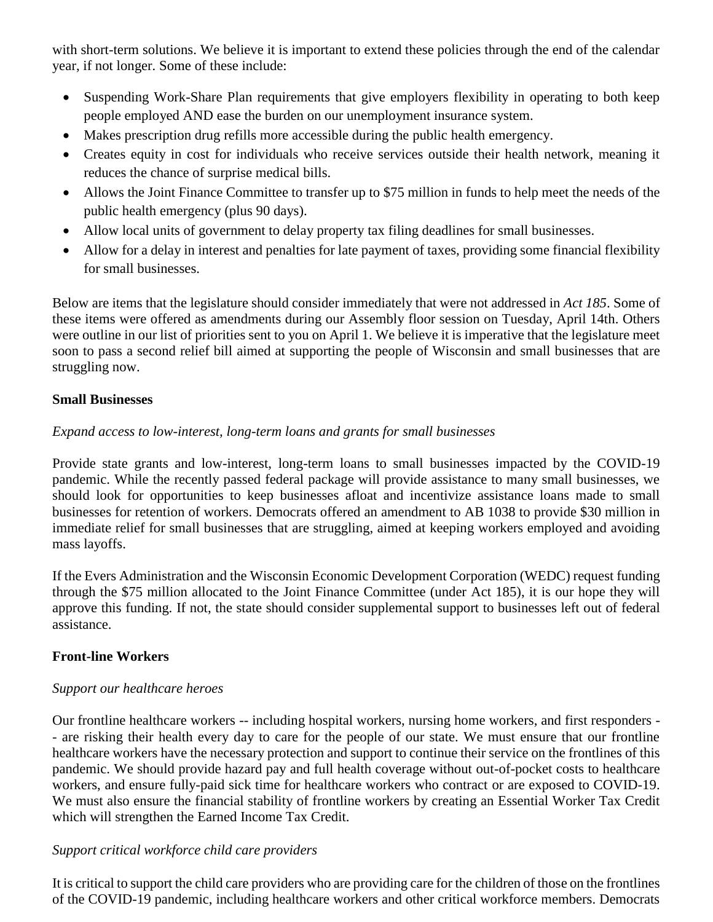with short-term solutions. We believe it is important to extend these policies through the end of the calendar year, if not longer. Some of these include:

- Suspending Work-Share Plan requirements that give employers flexibility in operating to both keep people employed AND ease the burden on our unemployment insurance system.
- Makes prescription drug refills more accessible during the public health emergency.
- Creates equity in cost for individuals who receive services outside their health network, meaning it reduces the chance of surprise medical bills.
- Allows the Joint Finance Committee to transfer up to \$75 million in funds to help meet the needs of the public health emergency (plus 90 days).
- Allow local units of government to delay property tax filing deadlines for small businesses.
- Allow for a delay in interest and penalties for late payment of taxes, providing some financial flexibility for small businesses.

Below are items that the legislature should consider immediately that were not addressed in *Act 185*. Some of these items were offered as amendments during our Assembly floor session on Tuesday, April 14th. Others were outline in our list of priorities sent to you on April 1. We believe it is imperative that the legislature meet soon to pass a second relief bill aimed at supporting the people of Wisconsin and small businesses that are struggling now.

## **Small Businesses**

# *Expand access to low-interest, long-term loans and grants for small businesses*

Provide state grants and low-interest, long-term loans to small businesses impacted by the COVID-19 pandemic. While the recently passed federal package will provide assistance to many small businesses, we should look for opportunities to keep businesses afloat and incentivize assistance loans made to small businesses for retention of workers. Democrats offered an amendment to AB 1038 to provide \$30 million in immediate relief for small businesses that are struggling, aimed at keeping workers employed and avoiding mass layoffs.

If the Evers Administration and the Wisconsin Economic Development Corporation (WEDC) request funding through the \$75 million allocated to the Joint Finance Committee (under Act 185), it is our hope they will approve this funding. If not, the state should consider supplemental support to businesses left out of federal assistance.

## **Front-line Workers**

## *Support our healthcare heroes*

Our frontline healthcare workers -- including hospital workers, nursing home workers, and first responders - - are risking their health every day to care for the people of our state. We must ensure that our frontline healthcare workers have the necessary protection and support to continue their service on the frontlines of this pandemic. We should provide hazard pay and full health coverage without out-of-pocket costs to healthcare workers, and ensure fully-paid sick time for healthcare workers who contract or are exposed to COVID-19. We must also ensure the financial stability of frontline workers by creating an Essential Worker Tax Credit which will strengthen the Earned Income Tax Credit.

## *Support critical workforce child care providers*

It is critical to support the child care providers who are providing care for the children of those on the frontlines of the COVID-19 pandemic, including healthcare workers and other critical workforce members. Democrats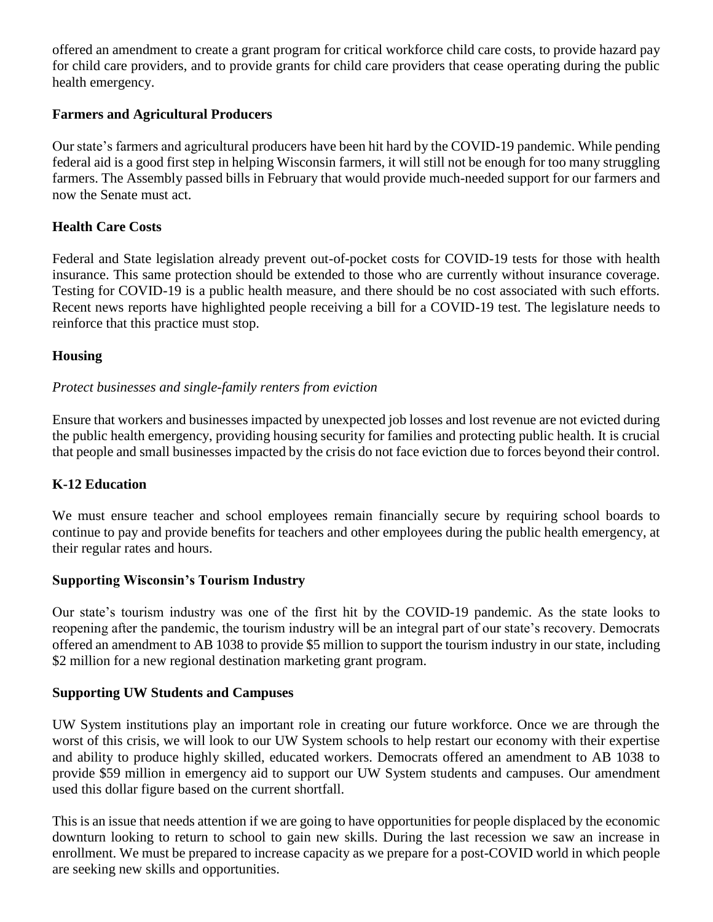offered an amendment to create a grant program for critical workforce child care costs, to provide hazard pay for child care providers, and to provide grants for child care providers that cease operating during the public health emergency.

## **Farmers and Agricultural Producers**

Our state's farmers and agricultural producers have been hit hard by the COVID-19 pandemic. While pending federal aid is a good first step in helping Wisconsin farmers, it will still not be enough for too many struggling farmers. The Assembly passed bills in February that would provide much-needed support for our farmers and now the Senate must act.

# **Health Care Costs**

Federal and State legislation already prevent out-of-pocket costs for COVID-19 tests for those with health insurance. This same protection should be extended to those who are currently without insurance coverage. Testing for COVID-19 is a public health measure, and there should be no cost associated with such efforts. Recent news reports have highlighted people receiving a bill for a COVID-19 test. The legislature needs to reinforce that this practice must stop.

# **Housing**

# *Protect businesses and single-family renters from eviction*

Ensure that workers and businesses impacted by unexpected job losses and lost revenue are not evicted during the public health emergency, providing housing security for families and protecting public health. It is crucial that people and small businesses impacted by the crisis do not face eviction due to forces beyond their control.

## **K-12 Education**

We must ensure teacher and school employees remain financially secure by requiring school boards to continue to pay and provide benefits for teachers and other employees during the public health emergency, at their regular rates and hours.

## **Supporting Wisconsin's Tourism Industry**

Our state's tourism industry was one of the first hit by the COVID-19 pandemic. As the state looks to reopening after the pandemic, the tourism industry will be an integral part of our state's recovery. Democrats offered an amendment to AB 1038 to provide \$5 million to support the tourism industry in our state, including \$2 million for a new regional destination marketing grant program.

## **Supporting UW Students and Campuses**

UW System institutions play an important role in creating our future workforce. Once we are through the worst of this crisis, we will look to our UW System schools to help restart our economy with their expertise and ability to produce highly skilled, educated workers. Democrats offered an amendment to AB 1038 to provide \$59 million in emergency aid to support our UW System students and campuses. Our amendment used this dollar figure based on the current shortfall.

This is an issue that needs attention if we are going to have opportunities for people displaced by the economic downturn looking to return to school to gain new skills. During the last recession we saw an increase in enrollment. We must be prepared to increase capacity as we prepare for a post-COVID world in which people are seeking new skills and opportunities.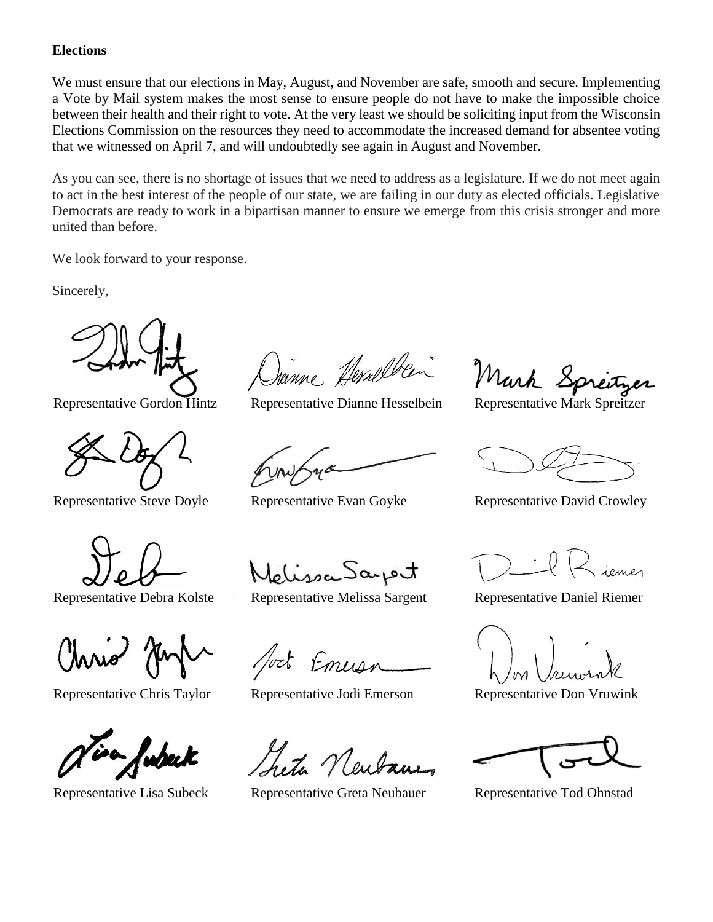### **Elections**

We must ensure that our elections in May, August, and November are safe, smooth and secure. Implementing a Vote by Mail system makes the most sense to ensure people do not have to make the impossible choice between their health and their right to vote. At the very least we should be soliciting input from the Wisconsin Elections Commission on the resources they need to accommodate the increased demand for absentee voting that we witnessed on April 7, and will undoubtedly see again in August and November.

As you can see, there is no shortage of issues that we need to address as a legislature. If we do not meet again to act in the best interest of the people of our state, we are failing in our duty as elected officials. Legislative Democrats are ready to work in a bipartisan manner to ensure we emerge from this crisis stronger and more united than before.

We look forward to your response.

Sincerely,





Janne Herselben

Melissa Saport

Representative Debra Kolste Representative Melissa Sargent Representative Daniel Riemer

Emiss

Representative Chris Taylor Representative Jodi Emerson Representative Don Vruwink

Representative Lisa Subeck Representative Greta Neubauer Representative Tod Ohnstad

Representative Gordon Hintz Representative Dianne Hesselbein Representative Mark Spreitzer

Representative Steve Doyle Representative Evan Goyke Representative David Crowley

2 iemer